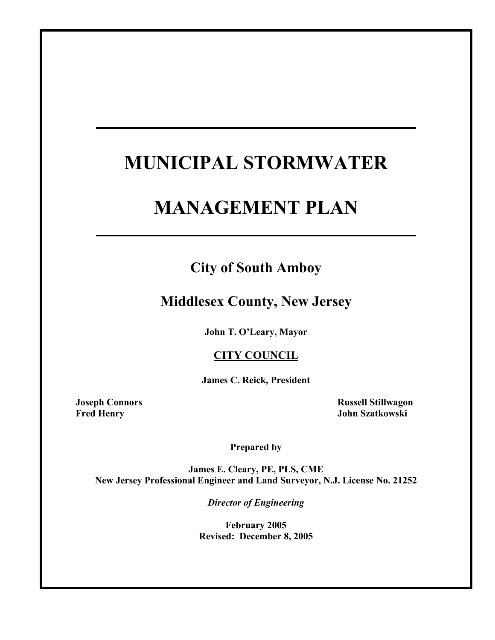# **MUNICIPAL STORMWATER**

# **MANAGEMENT PLAN**

## **City of South Amboy**

## **Middlesex County, New Jersey**

**John T. O'Leary, Mayor** 

### **CITY COUNCIL**

**James C. Reick, President** 

**Joseph Connors Russell Stillwagon Fred Henry John Szatkowski** 

**Prepared by** 

**James E. Cleary, PE, PLS, CME New Jersey Professional Engineer and Land Surveyor, N.J. License No. 21252** 

*Director of Engineering* 

**February 2005 Revised: December 8, 2005**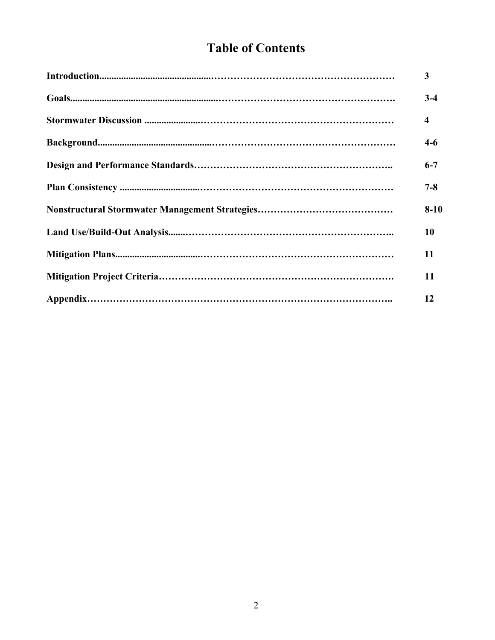# **Table of Contents**

| 3                       |
|-------------------------|
| $3-4$                   |
| $\overline{\mathbf{4}}$ |
| $4-6$                   |
| $6 - 7$                 |
| $7 - 8$                 |
| $8 - 10$                |
| 10                      |
| 11                      |
| 11                      |
| 12                      |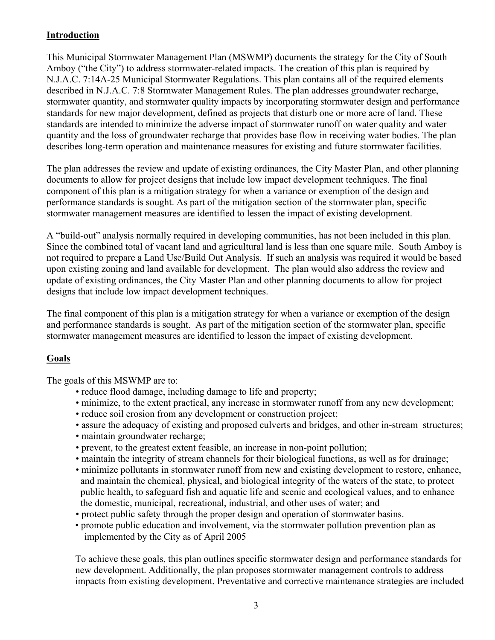#### **Introduction**

This Municipal Stormwater Management Plan (MSWMP) documents the strategy for the City of South Amboy ("the City") to address stormwater-related impacts. The creation of this plan is required by N.J.A.C. 7:14A-25 Municipal Stormwater Regulations. This plan contains all of the required elements described in N.J.A.C. 7:8 Stormwater Management Rules. The plan addresses groundwater recharge, stormwater quantity, and stormwater quality impacts by incorporating stormwater design and performance standards for new major development, defined as projects that disturb one or more acre of land. These standards are intended to minimize the adverse impact of stormwater runoff on water quality and water quantity and the loss of groundwater recharge that provides base flow in receiving water bodies. The plan describes long-term operation and maintenance measures for existing and future stormwater facilities.

The plan addresses the review and update of existing ordinances, the City Master Plan, and other planning documents to allow for project designs that include low impact development techniques. The final component of this plan is a mitigation strategy for when a variance or exemption of the design and performance standards is sought. As part of the mitigation section of the stormwater plan, specific stormwater management measures are identified to lessen the impact of existing development.

A "build-out" analysis normally required in developing communities, has not been included in this plan. Since the combined total of vacant land and agricultural land is less than one square mile. South Amboy is not required to prepare a Land Use/Build Out Analysis. If such an analysis was required it would be based upon existing zoning and land available for development. The plan would also address the review and update of existing ordinances, the City Master Plan and other planning documents to allow for project designs that include low impact development techniques.

The final component of this plan is a mitigation strategy for when a variance or exemption of the design and performance standards is sought. As part of the mitigation section of the stormwater plan, specific stormwater management measures are identified to lesson the impact of existing development.

#### **Goals**

The goals of this MSWMP are to:

- reduce flood damage, including damage to life and property;
- minimize, to the extent practical, any increase in stormwater runoff from any new development;
- reduce soil erosion from any development or construction project;
- assure the adequacy of existing and proposed culverts and bridges, and other in-stream structures;
- maintain groundwater recharge;
- prevent, to the greatest extent feasible, an increase in non-point pollution;
- maintain the integrity of stream channels for their biological functions, as well as for drainage;
- minimize pollutants in stormwater runoff from new and existing development to restore, enhance, and maintain the chemical, physical, and biological integrity of the waters of the state, to protect public health, to safeguard fish and aquatic life and scenic and ecological values, and to enhance the domestic, municipal, recreational, industrial, and other uses of water; and
- protect public safety through the proper design and operation of stormwater basins.
- promote public education and involvement, via the stormwater pollution prevention plan as implemented by the City as of April 2005

To achieve these goals, this plan outlines specific stormwater design and performance standards for new development. Additionally, the plan proposes stormwater management controls to address impacts from existing development. Preventative and corrective maintenance strategies are included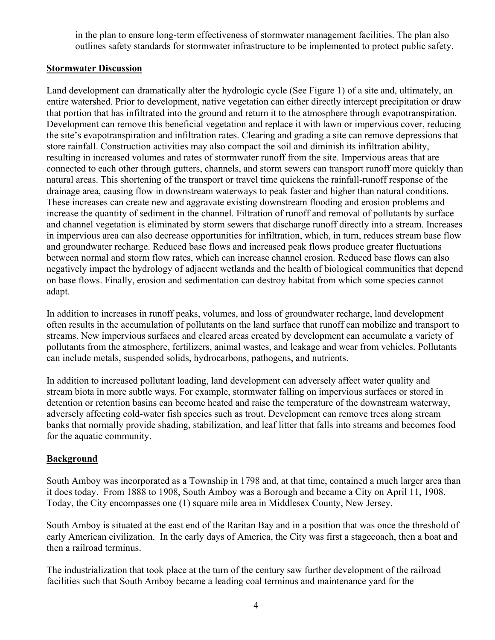in the plan to ensure long-term effectiveness of stormwater management facilities. The plan also outlines safety standards for stormwater infrastructure to be implemented to protect public safety.

#### **Stormwater Discussion**

Land development can dramatically alter the hydrologic cycle (See Figure 1) of a site and, ultimately, an entire watershed. Prior to development, native vegetation can either directly intercept precipitation or draw that portion that has infiltrated into the ground and return it to the atmosphere through evapotranspiration. Development can remove this beneficial vegetation and replace it with lawn or impervious cover, reducing the site's evapotranspiration and infiltration rates. Clearing and grading a site can remove depressions that store rainfall. Construction activities may also compact the soil and diminish its infiltration ability, resulting in increased volumes and rates of stormwater runoff from the site. Impervious areas that are connected to each other through gutters, channels, and storm sewers can transport runoff more quickly than natural areas. This shortening of the transport or travel time quickens the rainfall-runoff response of the drainage area, causing flow in downstream waterways to peak faster and higher than natural conditions. These increases can create new and aggravate existing downstream flooding and erosion problems and increase the quantity of sediment in the channel. Filtration of runoff and removal of pollutants by surface and channel vegetation is eliminated by storm sewers that discharge runoff directly into a stream. Increases in impervious area can also decrease opportunities for infiltration, which, in turn, reduces stream base flow and groundwater recharge. Reduced base flows and increased peak flows produce greater fluctuations between normal and storm flow rates, which can increase channel erosion. Reduced base flows can also negatively impact the hydrology of adjacent wetlands and the health of biological communities that depend on base flows. Finally, erosion and sedimentation can destroy habitat from which some species cannot adapt.

In addition to increases in runoff peaks, volumes, and loss of groundwater recharge, land development often results in the accumulation of pollutants on the land surface that runoff can mobilize and transport to streams. New impervious surfaces and cleared areas created by development can accumulate a variety of pollutants from the atmosphere, fertilizers, animal wastes, and leakage and wear from vehicles. Pollutants can include metals, suspended solids, hydrocarbons, pathogens, and nutrients.

In addition to increased pollutant loading, land development can adversely affect water quality and stream biota in more subtle ways. For example, stormwater falling on impervious surfaces or stored in detention or retention basins can become heated and raise the temperature of the downstream waterway, adversely affecting cold-water fish species such as trout. Development can remove trees along stream banks that normally provide shading, stabilization, and leaf litter that falls into streams and becomes food for the aquatic community.

#### **Background**

South Amboy was incorporated as a Township in 1798 and, at that time, contained a much larger area than it does today. From 1888 to 1908, South Amboy was a Borough and became a City on April 11, 1908. Today, the City encompasses one (1) square mile area in Middlesex County, New Jersey.

South Amboy is situated at the east end of the Raritan Bay and in a position that was once the threshold of early American civilization. In the early days of America, the City was first a stagecoach, then a boat and then a railroad terminus.

The industrialization that took place at the turn of the century saw further development of the railroad facilities such that South Amboy became a leading coal terminus and maintenance yard for the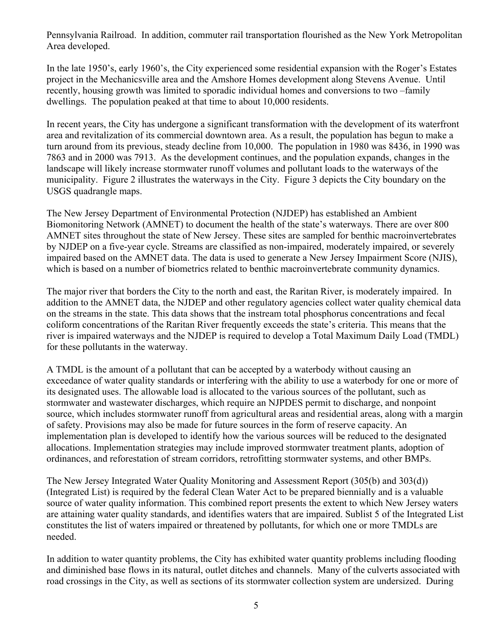Pennsylvania Railroad. In addition, commuter rail transportation flourished as the New York Metropolitan Area developed.

In the late 1950's, early 1960's, the City experienced some residential expansion with the Roger's Estates project in the Mechanicsville area and the Amshore Homes development along Stevens Avenue. Until recently, housing growth was limited to sporadic individual homes and conversions to two –family dwellings. The population peaked at that time to about 10,000 residents.

In recent years, the City has undergone a significant transformation with the development of its waterfront area and revitalization of its commercial downtown area. As a result, the population has begun to make a turn around from its previous, steady decline from 10,000. The population in 1980 was 8436, in 1990 was 7863 and in 2000 was 7913. As the development continues, and the population expands, changes in the landscape will likely increase stormwater runoff volumes and pollutant loads to the waterways of the municipality. Figure 2 illustrates the waterways in the City. Figure 3 depicts the City boundary on the USGS quadrangle maps.

The New Jersey Department of Environmental Protection (NJDEP) has established an Ambient Biomonitoring Network (AMNET) to document the health of the state's waterways. There are over 800 AMNET sites throughout the state of New Jersey. These sites are sampled for benthic macroinvertebrates by NJDEP on a five-year cycle. Streams are classified as non-impaired, moderately impaired, or severely impaired based on the AMNET data. The data is used to generate a New Jersey Impairment Score (NJIS), which is based on a number of biometrics related to benthic macroinvertebrate community dynamics.

The major river that borders the City to the north and east, the Raritan River, is moderately impaired. In addition to the AMNET data, the NJDEP and other regulatory agencies collect water quality chemical data on the streams in the state. This data shows that the instream total phosphorus concentrations and fecal coliform concentrations of the Raritan River frequently exceeds the state's criteria. This means that the river is impaired waterways and the NJDEP is required to develop a Total Maximum Daily Load (TMDL) for these pollutants in the waterway.

A TMDL is the amount of a pollutant that can be accepted by a waterbody without causing an exceedance of water quality standards or interfering with the ability to use a waterbody for one or more of its designated uses. The allowable load is allocated to the various sources of the pollutant, such as stormwater and wastewater discharges, which require an NJPDES permit to discharge, and nonpoint source, which includes stormwater runoff from agricultural areas and residential areas, along with a margin of safety. Provisions may also be made for future sources in the form of reserve capacity. An implementation plan is developed to identify how the various sources will be reduced to the designated allocations. Implementation strategies may include improved stormwater treatment plants, adoption of ordinances, and reforestation of stream corridors, retrofitting stormwater systems, and other BMPs.

The New Jersey Integrated Water Quality Monitoring and Assessment Report (305(b) and 303(d)) (Integrated List) is required by the federal Clean Water Act to be prepared biennially and is a valuable source of water quality information. This combined report presents the extent to which New Jersey waters are attaining water quality standards, and identifies waters that are impaired. Sublist 5 of the Integrated List constitutes the list of waters impaired or threatened by pollutants, for which one or more TMDLs are needed.

In addition to water quantity problems, the City has exhibited water quantity problems including flooding and diminished base flows in its natural, outlet ditches and channels. Many of the culverts associated with road crossings in the City, as well as sections of its stormwater collection system are undersized. During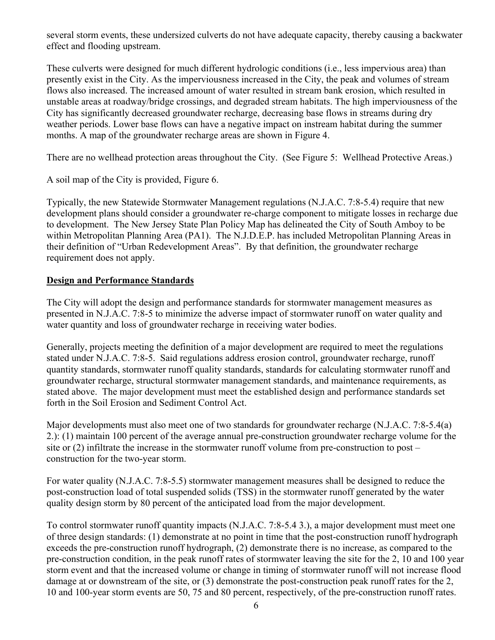several storm events, these undersized culverts do not have adequate capacity, thereby causing a backwater effect and flooding upstream.

These culverts were designed for much different hydrologic conditions (i.e., less impervious area) than presently exist in the City. As the imperviousness increased in the City, the peak and volumes of stream flows also increased. The increased amount of water resulted in stream bank erosion, which resulted in unstable areas at roadway/bridge crossings, and degraded stream habitats. The high imperviousness of the City has significantly decreased groundwater recharge, decreasing base flows in streams during dry weather periods. Lower base flows can have a negative impact on instream habitat during the summer months. A map of the groundwater recharge areas are shown in Figure 4.

There are no wellhead protection areas throughout the City. (See Figure 5: Wellhead Protective Areas.)

A soil map of the City is provided, Figure 6.

Typically, the new Statewide Stormwater Management regulations (N.J.A.C. 7:8-5.4) require that new development plans should consider a groundwater re-charge component to mitigate losses in recharge due to development. The New Jersey State Plan Policy Map has delineated the City of South Amboy to be within Metropolitan Planning Area (PA1). The N.J.D.E.P. has included Metropolitan Planning Areas in their definition of "Urban Redevelopment Areas". By that definition, the groundwater recharge requirement does not apply.

#### **Design and Performance Standards**

The City will adopt the design and performance standards for stormwater management measures as presented in N.J.A.C. 7:8-5 to minimize the adverse impact of stormwater runoff on water quality and water quantity and loss of groundwater recharge in receiving water bodies.

Generally, projects meeting the definition of a major development are required to meet the regulations stated under N.J.A.C. 7:8-5. Said regulations address erosion control, groundwater recharge, runoff quantity standards, stormwater runoff quality standards, standards for calculating stormwater runoff and groundwater recharge, structural stormwater management standards, and maintenance requirements, as stated above. The major development must meet the established design and performance standards set forth in the Soil Erosion and Sediment Control Act.

Major developments must also meet one of two standards for groundwater recharge (N.J.A.C. 7:8-5.4(a) 2.): (1) maintain 100 percent of the average annual pre-construction groundwater recharge volume for the site or (2) infiltrate the increase in the stormwater runoff volume from pre-construction to post – construction for the two-year storm.

For water quality (N.J.A.C. 7:8-5.5) stormwater management measures shall be designed to reduce the post-construction load of total suspended solids (TSS) in the stormwater runoff generated by the water quality design storm by 80 percent of the anticipated load from the major development.

To control stormwater runoff quantity impacts (N.J.A.C. 7:8-5.4 3.), a major development must meet one of three design standards: (1) demonstrate at no point in time that the post-construction runoff hydrograph exceeds the pre-construction runoff hydrograph, (2) demonstrate there is no increase, as compared to the pre-construction condition, in the peak runoff rates of stormwater leaving the site for the 2, 10 and 100 year storm event and that the increased volume or change in timing of stormwater runoff will not increase flood damage at or downstream of the site, or (3) demonstrate the post-construction peak runoff rates for the 2, 10 and 100-year storm events are 50, 75 and 80 percent, respectively, of the pre-construction runoff rates.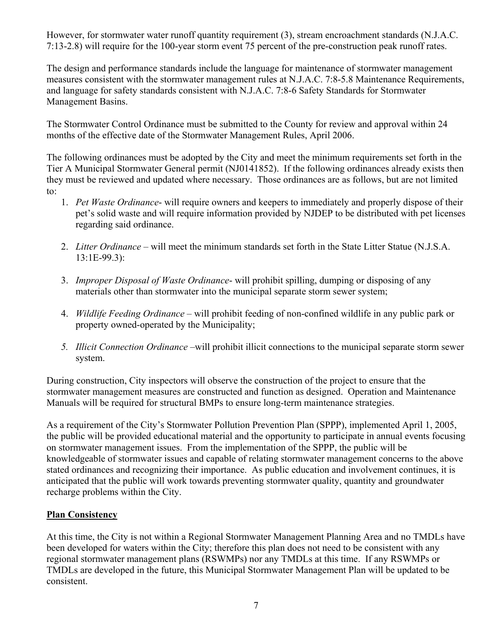However, for stormwater water runoff quantity requirement (3), stream encroachment standards (N.J.A.C. 7:13-2.8) will require for the 100-year storm event 75 percent of the pre-construction peak runoff rates.

The design and performance standards include the language for maintenance of stormwater management measures consistent with the stormwater management rules at N.J.A.C. 7:8-5.8 Maintenance Requirements, and language for safety standards consistent with N.J.A.C. 7:8-6 Safety Standards for Stormwater Management Basins.

The Stormwater Control Ordinance must be submitted to the County for review and approval within 24 months of the effective date of the Stormwater Management Rules, April 2006.

The following ordinances must be adopted by the City and meet the minimum requirements set forth in the Tier A Municipal Stormwater General permit (NJ0141852). If the following ordinances already exists then they must be reviewed and updated where necessary. Those ordinances are as follows, but are not limited to:

- 1. *Pet Waste Ordinance* will require owners and keepers to immediately and properly dispose of their pet's solid waste and will require information provided by NJDEP to be distributed with pet licenses regarding said ordinance.
- 2. *Litter Ordinance* will meet the minimum standards set forth in the State Litter Statue (N.J.S.A. 13:1E-99.3):
- 3. *Improper Disposal of Waste Ordinance* will prohibit spilling, dumping or disposing of any materials other than stormwater into the municipal separate storm sewer system;
- 4. *Wildlife Feeding Ordinance*  will prohibit feeding of non-confined wildlife in any public park or property owned-operated by the Municipality;
- *5. Illicit Connection Ordinance –*will prohibit illicit connections to the municipal separate storm sewer system.

During construction, City inspectors will observe the construction of the project to ensure that the stormwater management measures are constructed and function as designed. Operation and Maintenance Manuals will be required for structural BMPs to ensure long-term maintenance strategies.

As a requirement of the City's Stormwater Pollution Prevention Plan (SPPP), implemented April 1, 2005, the public will be provided educational material and the opportunity to participate in annual events focusing on stormwater management issues. From the implementation of the SPPP, the public will be knowledgeable of stormwater issues and capable of relating stormwater management concerns to the above stated ordinances and recognizing their importance. As public education and involvement continues, it is anticipated that the public will work towards preventing stormwater quality, quantity and groundwater recharge problems within the City.

#### **Plan Consistency**

At this time, the City is not within a Regional Stormwater Management Planning Area and no TMDLs have been developed for waters within the City; therefore this plan does not need to be consistent with any regional stormwater management plans (RSWMPs) nor any TMDLs at this time. If any RSWMPs or TMDLs are developed in the future, this Municipal Stormwater Management Plan will be updated to be consistent.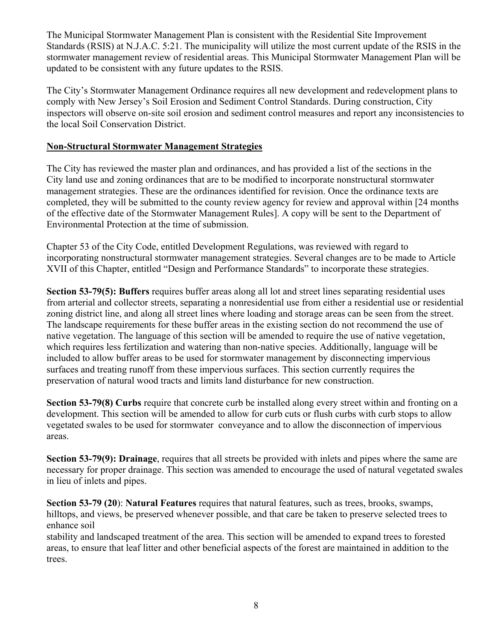The Municipal Stormwater Management Plan is consistent with the Residential Site Improvement Standards (RSIS) at N.J.A.C. 5:21. The municipality will utilize the most current update of the RSIS in the stormwater management review of residential areas. This Municipal Stormwater Management Plan will be updated to be consistent with any future updates to the RSIS.

The City's Stormwater Management Ordinance requires all new development and redevelopment plans to comply with New Jersey's Soil Erosion and Sediment Control Standards. During construction, City inspectors will observe on-site soil erosion and sediment control measures and report any inconsistencies to the local Soil Conservation District.

#### **Non-Structural Stormwater Management Strategies**

The City has reviewed the master plan and ordinances, and has provided a list of the sections in the City land use and zoning ordinances that are to be modified to incorporate nonstructural stormwater management strategies. These are the ordinances identified for revision. Once the ordinance texts are completed, they will be submitted to the county review agency for review and approval within [24 months of the effective date of the Stormwater Management Rules]. A copy will be sent to the Department of Environmental Protection at the time of submission.

Chapter 53 of the City Code, entitled Development Regulations, was reviewed with regard to incorporating nonstructural stormwater management strategies. Several changes are to be made to Article XVII of this Chapter, entitled "Design and Performance Standards" to incorporate these strategies.

**Section 53-79(5): Buffers** requires buffer areas along all lot and street lines separating residential uses from arterial and collector streets, separating a nonresidential use from either a residential use or residential zoning district line, and along all street lines where loading and storage areas can be seen from the street. The landscape requirements for these buffer areas in the existing section do not recommend the use of native vegetation. The language of this section will be amended to require the use of native vegetation, which requires less fertilization and watering than non-native species. Additionally, language will be included to allow buffer areas to be used for stormwater management by disconnecting impervious surfaces and treating runoff from these impervious surfaces. This section currently requires the preservation of natural wood tracts and limits land disturbance for new construction.

**Section 53-79(8) Curbs** require that concrete curb be installed along every street within and fronting on a development. This section will be amended to allow for curb cuts or flush curbs with curb stops to allow vegetated swales to be used for stormwater conveyance and to allow the disconnection of impervious areas.

**Section 53-79(9): Drainage**, requires that all streets be provided with inlets and pipes where the same are necessary for proper drainage. This section was amended to encourage the used of natural vegetated swales in lieu of inlets and pipes.

**Section 53-79 (20**): **Natural Features** requires that natural features, such as trees, brooks, swamps, hilltops, and views, be preserved whenever possible, and that care be taken to preserve selected trees to enhance soil

stability and landscaped treatment of the area. This section will be amended to expand trees to forested areas, to ensure that leaf litter and other beneficial aspects of the forest are maintained in addition to the trees.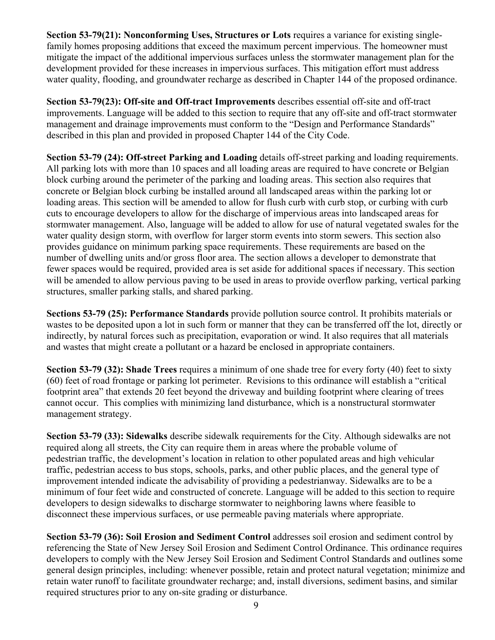**Section 53-79(21): Nonconforming Uses, Structures or Lots requires a variance for existing single**family homes proposing additions that exceed the maximum percent impervious. The homeowner must mitigate the impact of the additional impervious surfaces unless the stormwater management plan for the development provided for these increases in impervious surfaces. This mitigation effort must address water quality, flooding, and groundwater recharge as described in Chapter 144 of the proposed ordinance.

**Section 53-79(23): Off-site and Off-tract Improvements** describes essential off-site and off-tract improvements. Language will be added to this section to require that any off-site and off-tract stormwater management and drainage improvements must conform to the "Design and Performance Standards" described in this plan and provided in proposed Chapter 144 of the City Code.

**Section 53-79 (24): Off-street Parking and Loading** details off-street parking and loading requirements. All parking lots with more than 10 spaces and all loading areas are required to have concrete or Belgian block curbing around the perimeter of the parking and loading areas. This section also requires that concrete or Belgian block curbing be installed around all landscaped areas within the parking lot or loading areas. This section will be amended to allow for flush curb with curb stop, or curbing with curb cuts to encourage developers to allow for the discharge of impervious areas into landscaped areas for stormwater management. Also, language will be added to allow for use of natural vegetated swales for the water quality design storm, with overflow for larger storm events into storm sewers. This section also provides guidance on minimum parking space requirements. These requirements are based on the number of dwelling units and/or gross floor area. The section allows a developer to demonstrate that fewer spaces would be required, provided area is set aside for additional spaces if necessary. This section will be amended to allow pervious paving to be used in areas to provide overflow parking, vertical parking structures, smaller parking stalls, and shared parking.

**Sections 53-79 (25): Performance Standards** provide pollution source control. It prohibits materials or wastes to be deposited upon a lot in such form or manner that they can be transferred off the lot, directly or indirectly, by natural forces such as precipitation, evaporation or wind. It also requires that all materials and wastes that might create a pollutant or a hazard be enclosed in appropriate containers.

**Section 53-79 (32): Shade Trees** requires a minimum of one shade tree for every forty (40) feet to sixty (60) feet of road frontage or parking lot perimeter. Revisions to this ordinance will establish a "critical footprint area" that extends 20 feet beyond the driveway and building footprint where clearing of trees cannot occur. This complies with minimizing land disturbance, which is a nonstructural stormwater management strategy.

**Section 53-79 (33): Sidewalks** describe sidewalk requirements for the City. Although sidewalks are not required along all streets, the City can require them in areas where the probable volume of pedestrian traffic, the development's location in relation to other populated areas and high vehicular traffic, pedestrian access to bus stops, schools, parks, and other public places, and the general type of improvement intended indicate the advisability of providing a pedestrianway. Sidewalks are to be a minimum of four feet wide and constructed of concrete. Language will be added to this section to require developers to design sidewalks to discharge stormwater to neighboring lawns where feasible to disconnect these impervious surfaces, or use permeable paving materials where appropriate.

**Section 53-79 (36): Soil Erosion and Sediment Control addresses soil erosion and sediment control by** referencing the State of New Jersey Soil Erosion and Sediment Control Ordinance. This ordinance requires developers to comply with the New Jersey Soil Erosion and Sediment Control Standards and outlines some general design principles, including: whenever possible, retain and protect natural vegetation; minimize and retain water runoff to facilitate groundwater recharge; and, install diversions, sediment basins, and similar required structures prior to any on-site grading or disturbance.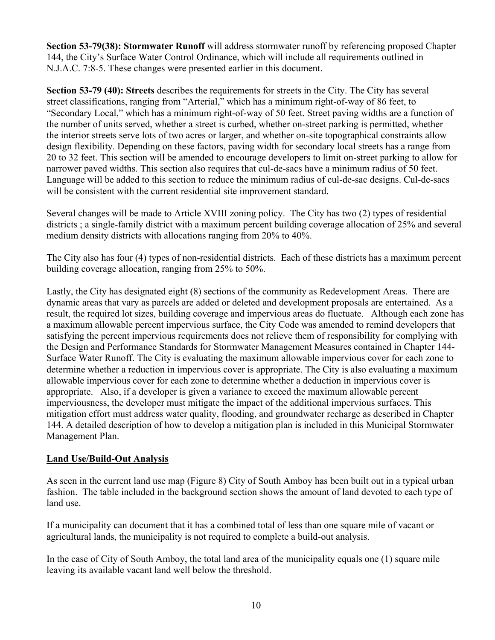**Section 53-79(38): Stormwater Runoff** will address stormwater runoff by referencing proposed Chapter 144, the City's Surface Water Control Ordinance, which will include all requirements outlined in N.J.A.C. 7:8-5. These changes were presented earlier in this document.

**Section 53-79 (40): Streets** describes the requirements for streets in the City. The City has several street classifications, ranging from "Arterial," which has a minimum right-of-way of 86 feet, to "Secondary Local," which has a minimum right-of-way of 50 feet. Street paving widths are a function of the number of units served, whether a street is curbed, whether on-street parking is permitted, whether the interior streets serve lots of two acres or larger, and whether on-site topographical constraints allow design flexibility. Depending on these factors, paving width for secondary local streets has a range from 20 to 32 feet. This section will be amended to encourage developers to limit on-street parking to allow for narrower paved widths. This section also requires that cul-de-sacs have a minimum radius of 50 feet. Language will be added to this section to reduce the minimum radius of cul-de-sac designs. Cul-de-sacs will be consistent with the current residential site improvement standard.

Several changes will be made to Article XVIII zoning policy. The City has two (2) types of residential districts ; a single-family district with a maximum percent building coverage allocation of 25% and several medium density districts with allocations ranging from 20% to 40%.

The City also has four (4) types of non-residential districts. Each of these districts has a maximum percent building coverage allocation, ranging from 25% to 50%.

Lastly, the City has designated eight (8) sections of the community as Redevelopment Areas. There are dynamic areas that vary as parcels are added or deleted and development proposals are entertained. As a result, the required lot sizes, building coverage and impervious areas do fluctuate. Although each zone has a maximum allowable percent impervious surface, the City Code was amended to remind developers that satisfying the percent impervious requirements does not relieve them of responsibility for complying with the Design and Performance Standards for Stormwater Management Measures contained in Chapter 144- Surface Water Runoff. The City is evaluating the maximum allowable impervious cover for each zone to determine whether a reduction in impervious cover is appropriate. The City is also evaluating a maximum allowable impervious cover for each zone to determine whether a deduction in impervious cover is appropriate. Also, if a developer is given a variance to exceed the maximum allowable percent imperviousness, the developer must mitigate the impact of the additional impervious surfaces. This mitigation effort must address water quality, flooding, and groundwater recharge as described in Chapter 144. A detailed description of how to develop a mitigation plan is included in this Municipal Stormwater Management Plan.

#### **Land Use/Build-Out Analysis**

As seen in the current land use map (Figure 8) City of South Amboy has been built out in a typical urban fashion. The table included in the background section shows the amount of land devoted to each type of land use.

If a municipality can document that it has a combined total of less than one square mile of vacant or agricultural lands, the municipality is not required to complete a build-out analysis.

In the case of City of South Amboy, the total land area of the municipality equals one (1) square mile leaving its available vacant land well below the threshold.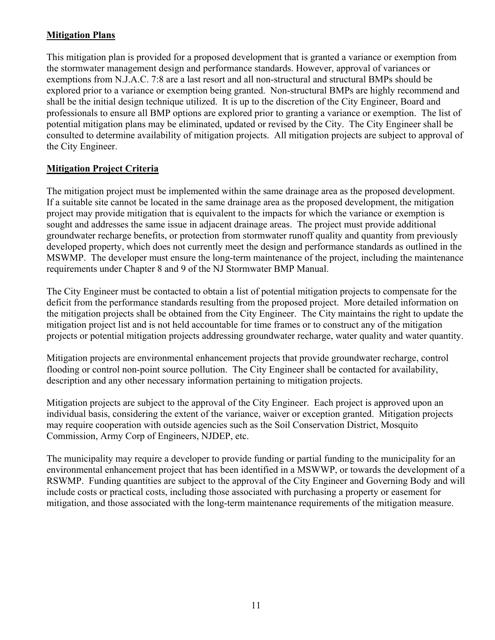#### **Mitigation Plans**

This mitigation plan is provided for a proposed development that is granted a variance or exemption from the stormwater management design and performance standards. However, approval of variances or exemptions from N.J.A.C. 7:8 are a last resort and all non-structural and structural BMPs should be explored prior to a variance or exemption being granted. Non-structural BMPs are highly recommend and shall be the initial design technique utilized. It is up to the discretion of the City Engineer, Board and professionals to ensure all BMP options are explored prior to granting a variance or exemption. The list of potential mitigation plans may be eliminated, updated or revised by the City. The City Engineer shall be consulted to determine availability of mitigation projects. All mitigation projects are subject to approval of the City Engineer.

#### **Mitigation Project Criteria**

The mitigation project must be implemented within the same drainage area as the proposed development. If a suitable site cannot be located in the same drainage area as the proposed development, the mitigation project may provide mitigation that is equivalent to the impacts for which the variance or exemption is sought and addresses the same issue in adjacent drainage areas. The project must provide additional groundwater recharge benefits, or protection from stormwater runoff quality and quantity from previously developed property, which does not currently meet the design and performance standards as outlined in the MSWMP. The developer must ensure the long-term maintenance of the project, including the maintenance requirements under Chapter 8 and 9 of the NJ Stormwater BMP Manual.

The City Engineer must be contacted to obtain a list of potential mitigation projects to compensate for the deficit from the performance standards resulting from the proposed project. More detailed information on the mitigation projects shall be obtained from the City Engineer. The City maintains the right to update the mitigation project list and is not held accountable for time frames or to construct any of the mitigation projects or potential mitigation projects addressing groundwater recharge, water quality and water quantity.

Mitigation projects are environmental enhancement projects that provide groundwater recharge, control flooding or control non-point source pollution. The City Engineer shall be contacted for availability, description and any other necessary information pertaining to mitigation projects.

Mitigation projects are subject to the approval of the City Engineer. Each project is approved upon an individual basis, considering the extent of the variance, waiver or exception granted. Mitigation projects may require cooperation with outside agencies such as the Soil Conservation District, Mosquito Commission, Army Corp of Engineers, NJDEP, etc.

The municipality may require a developer to provide funding or partial funding to the municipality for an environmental enhancement project that has been identified in a MSWWP, or towards the development of a RSWMP. Funding quantities are subject to the approval of the City Engineer and Governing Body and will include costs or practical costs, including those associated with purchasing a property or easement for mitigation, and those associated with the long-term maintenance requirements of the mitigation measure.